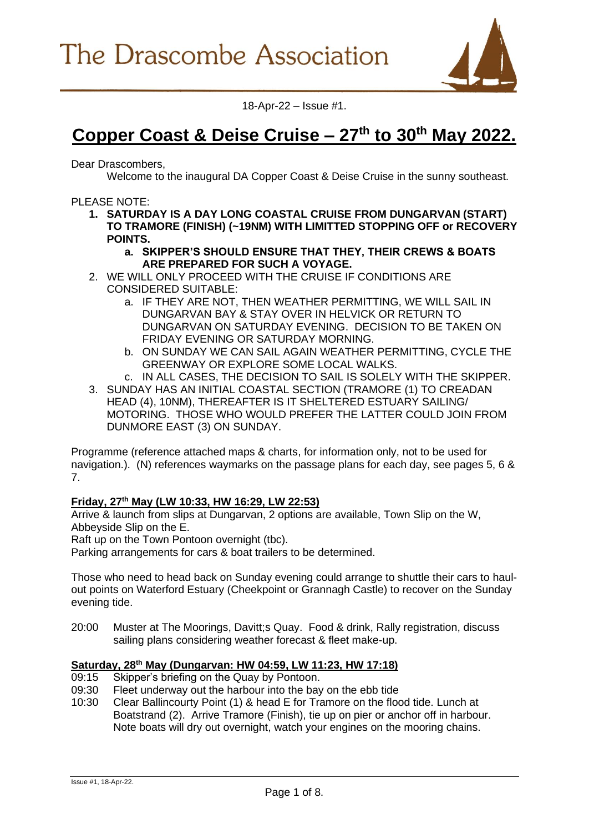

18-Apr-22 – Issue #1.

# **Copper Coast & Deise Cruise – 27th to 30th May 2022.**

Dear Drascombers,

**1.1**

Welcome to the inaugural DA Copper Coast & Deise Cruise in the sunny southeast.

PLEASE NOTE:

- **1. SATURDAY IS A DAY LONG COASTAL CRUISE FROM DUNGARVAN (START) TO TRAMORE (FINISH) (~19NM) WITH LIMITTED STOPPING OFF or RECOVERY POINTS.** 
	- **a. SKIPPER'S SHOULD ENSURE THAT THEY, THEIR CREWS & BOATS ARE PREPARED FOR SUCH A VOYAGE.**
- 2. WE WILL ONLY PROCEED WITH THE CRUISE IF CONDITIONS ARE CONSIDERED SUITABLE:
	- a. IF THEY ARE NOT, THEN WEATHER PERMITTING, WE WILL SAIL IN DUNGARVAN BAY & STAY OVER IN HELVICK OR RETURN TO DUNGARVAN ON SATURDAY EVENING. DECISION TO BE TAKEN ON FRIDAY EVENING OR SATURDAY MORNING.
	- b. ON SUNDAY WE CAN SAIL AGAIN WEATHER PERMITTING, CYCLE THE GREENWAY OR EXPLORE SOME LOCAL WALKS.
	- c. IN ALL CASES, THE DECISION TO SAIL IS SOLELY WITH THE SKIPPER.
- 3. SUNDAY HAS AN INITIAL COASTAL SECTION (TRAMORE (1) TO CREADAN HEAD (4), 10NM), THEREAFTER IS IT SHELTERED ESTUARY SAILING/ MOTORING. THOSE WHO WOULD PREFER THE LATTER COULD JOIN FROM DUNMORE EAST (3) ON SUNDAY.

Programme (reference attached maps & charts, for information only, not to be used for navigation.). (N) references waymarks on the passage plans for each day, see pages 5, 6 & 7.

# **Friday, 27th May (LW 10:33, HW 16:29, LW 22:53)**

Arrive & launch from slips at Dungarvan, 2 options are available, Town Slip on the W, Abbeyside Slip on the E.

Raft up on the Town Pontoon overnight (tbc).

Parking arrangements for cars & boat trailers to be determined.

Those who need to head back on Sunday evening could arrange to shuttle their cars to haulout points on Waterford Estuary (Cheekpoint or Grannagh Castle) to recover on the Sunday evening tide.

20:00 Muster at The Moorings, Davitt;s Quay. Food & drink, Rally registration, discuss sailing plans considering weather forecast & fleet make-up.

# **Saturday, 28th May (Dungarvan: HW 04:59, LW 11:23, HW 17:18)**

- 09:15 Skipper's briefing on the Quay by Pontoon.
- 09:30 Fleet underway out the harbour into the bay on the ebb tide
- 10:30 Clear Ballincourty Point (1) & head E for Tramore on the flood tide. Lunch at Boatstrand (2). Arrive Tramore (Finish), tie up on pier or anchor off in harbour. Note boats will dry out overnight, watch your engines on the mooring chains.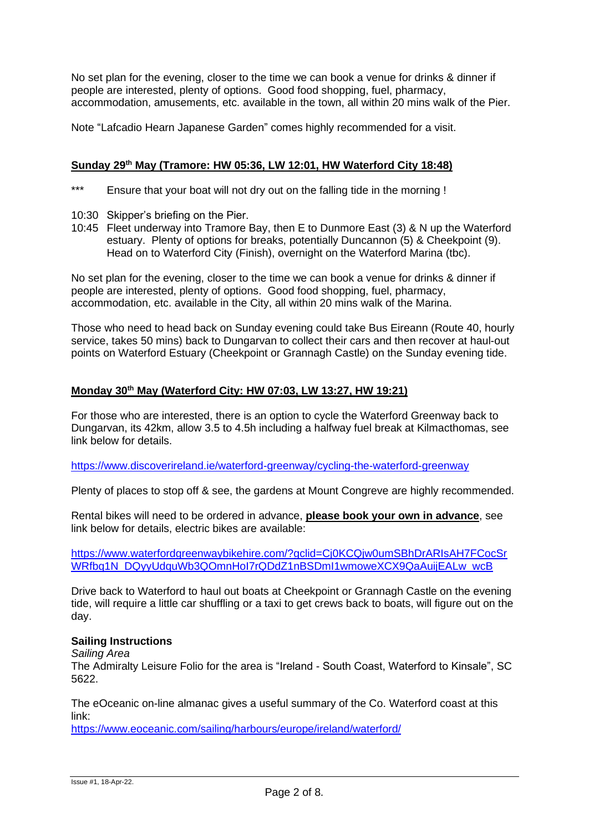No set plan for the evening, closer to the time we can book a venue for drinks & dinner if people are interested, plenty of options. Good food shopping, fuel, pharmacy, accommodation, amusements, etc. available in the town, all within 20 mins walk of the Pier.

Note "Lafcadio Hearn Japanese Garden" comes highly recommended for a visit.

## **Sunday 29th May (Tramore: HW 05:36, LW 12:01, HW Waterford City 18:48)**

- \*\*\* Ensure that your boat will not dry out on the falling tide in the morning !
- 10:30 Skipper's briefing on the Pier.
- 10:45 Fleet underway into Tramore Bay, then E to Dunmore East (3) & N up the Waterford estuary. Plenty of options for breaks, potentially Duncannon (5) & Cheekpoint (9). Head on to Waterford City (Finish), overnight on the Waterford Marina (tbc).

No set plan for the evening, closer to the time we can book a venue for drinks & dinner if people are interested, plenty of options. Good food shopping, fuel, pharmacy, accommodation, etc. available in the City, all within 20 mins walk of the Marina.

Those who need to head back on Sunday evening could take Bus Eireann (Route 40, hourly service, takes 50 mins) back to Dungarvan to collect their cars and then recover at haul-out points on Waterford Estuary (Cheekpoint or Grannagh Castle) on the Sunday evening tide.

# **Monday 30th May (Waterford City: HW 07:03, LW 13:27, HW 19:21)**

For those who are interested, there is an option to cycle the Waterford Greenway back to Dungarvan, its 42km, allow 3.5 to 4.5h including a halfway fuel break at Kilmacthomas, see link below for details.

#### <https://www.discoverireland.ie/waterford-greenway/cycling-the-waterford-greenway>

Plenty of places to stop off & see, the gardens at Mount Congreve are highly recommended.

Rental bikes will need to be ordered in advance, **please book your own in advance**, see link below for details, electric bikes are available:

[https://www.waterfordgreenwaybikehire.com/?gclid=Cj0KCQjw0umSBhDrARIsAH7FCocSr](https://www.waterfordgreenwaybikehire.com/?gclid=Cj0KCQjw0umSBhDrARIsAH7FCocSrWRfbq1N_DQyyUdquWb3QOmnHoI7rQDdZ1nBSDmI1wmoweXCX9QaAuijEALw_wcB) [WRfbq1N\\_DQyyUdquWb3QOmnHoI7rQDdZ1nBSDmI1wmoweXCX9QaAuijEALw\\_wcB](https://www.waterfordgreenwaybikehire.com/?gclid=Cj0KCQjw0umSBhDrARIsAH7FCocSrWRfbq1N_DQyyUdquWb3QOmnHoI7rQDdZ1nBSDmI1wmoweXCX9QaAuijEALw_wcB)

Drive back to Waterford to haul out boats at Cheekpoint or Grannagh Castle on the evening tide, will require a little car shuffling or a taxi to get crews back to boats, will figure out on the day.

#### **Sailing Instructions**

*Sailing Area*

The Admiralty Leisure Folio for the area is "Ireland - South Coast, Waterford to Kinsale", SC 5622.

The eOceanic on-line almanac gives a useful summary of the Co. Waterford coast at this link:

<https://www.eoceanic.com/sailing/harbours/europe/ireland/waterford/>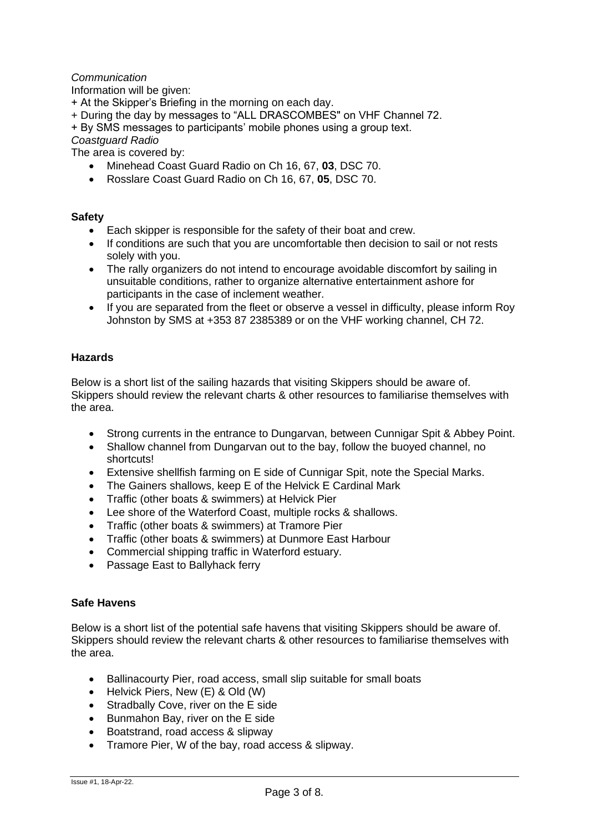# *Communication*

Information will be given:

- + At the Skipper's Briefing in the morning on each day.
- + During the day by messages to "ALL DRASCOMBES" on VHF Channel 72.

+ By SMS messages to participants' mobile phones using a group text.

*Coastguard Radio*

The area is covered by:

- Minehead Coast Guard Radio on Ch 16, 67, **03**, DSC 70.
- Rosslare Coast Guard Radio on Ch 16, 67, **05**, DSC 70.

#### **Safety**

- Each skipper is responsible for the safety of their boat and crew.
- If conditions are such that you are uncomfortable then decision to sail or not rests solely with you.
- The rally organizers do not intend to encourage avoidable discomfort by sailing in unsuitable conditions, rather to organize alternative entertainment ashore for participants in the case of inclement weather.
- If you are separated from the fleet or observe a vessel in difficulty, please inform Roy Johnston by SMS at +353 87 2385389 or on the VHF working channel, CH 72.

#### **Hazards**

Below is a short list of the sailing hazards that visiting Skippers should be aware of. Skippers should review the relevant charts & other resources to familiarise themselves with the area.

- Strong currents in the entrance to Dungarvan, between Cunnigar Spit & Abbey Point.
- Shallow channel from Dungarvan out to the bay, follow the buoyed channel, no shortcuts!
- Extensive shellfish farming on E side of Cunnigar Spit, note the Special Marks.
- The Gainers shallows, keep E of the Helvick E Cardinal Mark
- Traffic (other boats & swimmers) at Helvick Pier
- Lee shore of the Waterford Coast, multiple rocks & shallows.
- Traffic (other boats & swimmers) at Tramore Pier
- Traffic (other boats & swimmers) at Dunmore East Harbour
- Commercial shipping traffic in Waterford estuary.
- Passage East to Ballyhack ferry

#### **Safe Havens**

Below is a short list of the potential safe havens that visiting Skippers should be aware of. Skippers should review the relevant charts & other resources to familiarise themselves with the area.

- Ballinacourty Pier, road access, small slip suitable for small boats
- Helvick Piers, New (E) & Old (W)
- Stradbally Cove, river on the E side
- Bunmahon Bay, river on the E side
- Boatstrand, road access & slipway
- Tramore Pier, W of the bay, road access & slipway.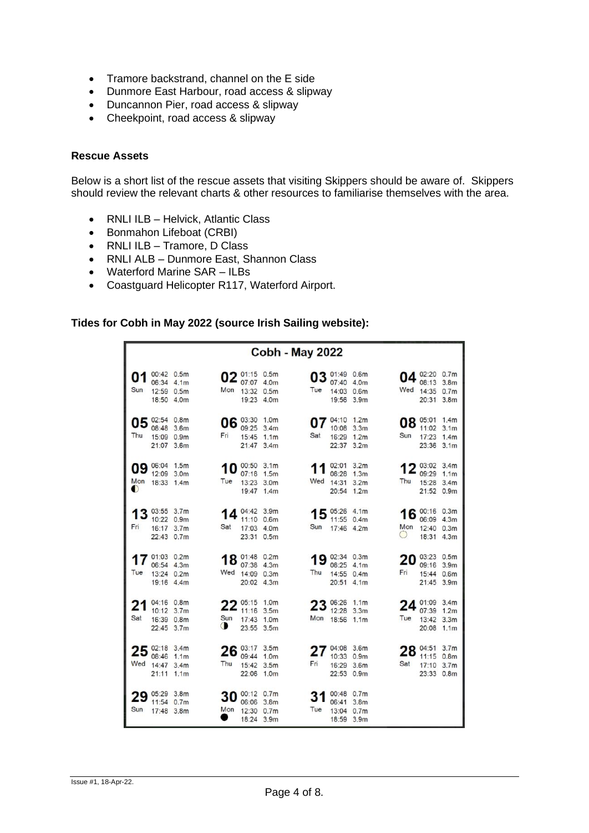- Tramore backstrand, channel on the E side
- Dunmore East Harbour, road access & slipway
- Duncannon Pier, road access & slipway
- Cheekpoint, road access & slipway

## **Rescue Assets**

Below is a short list of the rescue assets that visiting Skippers should be aware of. Skippers should review the relevant charts & other resources to familiarise themselves with the area.

- RNLI ILB Helvick, Atlantic Class
- Bonmahon Lifeboat (CRBI)
- RNLI ILB Tramore, D Class
- RNLI ALB Dunmore East, Shannon Class
- Waterford Marine SAR ILBs
- Coastguard Helicopter R117, Waterford Airport.

## **Tides for Cobh in May 2022 (source Irish Sailing website):**

| <b>Cobh - May 2022</b> |                                                      |                  |                  |                                                             |                  |          |                                                         |                                      |           |                                                      |                                              |
|------------------------|------------------------------------------------------|------------------|------------------|-------------------------------------------------------------|------------------|----------|---------------------------------------------------------|--------------------------------------|-----------|------------------------------------------------------|----------------------------------------------|
| 01<br>Sun              | 00:42 0.5m<br>06:34 4.1m<br>12:59 0.5m<br>18:50 4.0m |                  | Mon              | 02 01:15 0.5m<br>07:07 4.0m<br>13:32 0.5m<br>19:23 4.0m     |                  | Tue      | 03 01:49 0.6m<br>07:40 4.0m<br>14:03 0.6m<br>19:56 3.9m |                                      | Wed       | 04 02:20 0.7m<br>08:13 3.8m<br>14:35 0.7m<br>20:31   | 3.8 <sub>m</sub>                             |
| 05<br>Thu              | 02:54 0.8m<br>08:48<br>15:09 0.9m<br>21:07 3.6m      | 3.6m             | Fri              | 06 03:30 1.0m<br>09:25<br>15:45 1.1m<br>21:47 3.4m          | 3.4 <sub>m</sub> | Sat      | 04:10 1.2m<br>10:08<br>16:29 1.2m<br>22:37 3.2m         | 3.3 <sub>m</sub>                     | Sun       | 08 05:01<br>11:02<br>17:23<br>23:36 3.1m             | 1.4 <sub>m</sub><br>3.1 <sub>m</sub><br>1.4m |
| 09<br>Mon<br>$\bullet$ | 06:04 1.5m<br>12:09 3.0m<br>18:33 1.4m               |                  | 10<br>Tue        | 00:50 3.1m<br>07:18 1.5m<br>13:23 3.0m<br>19:47 1.4m        |                  | Wed      | 02:01 3.2m<br>08:28<br>14:31<br>20:54 1.2m              | 1.3 <sub>m</sub><br>3.2 <sub>m</sub> | Thu       | $2^{03:02}_{09:29}$ 3.4m<br>15:28 3.4m<br>21:52 0.9m |                                              |
| Fri                    | 03:55 3.7m<br>10:22 0.9m<br>16:17 3.7m<br>22:43 0.7m |                  | ◢<br>Sat         | 04:42 3.9m<br>11:10 0.6m<br>17:03 4.0m<br>23:31 0.5m        |                  | 5<br>Sun | 05:26 4.1m<br>11:55 0.4m<br>17:46 4.2m                  |                                      | 6<br>Mon  | 00:16 0.3m<br>06:09 4.3m<br>12:40 0.3m<br>18:31      | 4.3 <sub>m</sub>                             |
| Tue                    | 01:03 0.2m<br>06:54 4.3m<br>13:24 0.2m<br>19:16 4.4m |                  |                  | 18 01:48 0.2m<br>07:38 4.3m<br>Wed 14:09 0.3m<br>20:02 4.3m |                  | Thu      | 19 02:34 0.3m<br>08:25 4.1m<br>14:55 0.4m<br>20:51 4.1m |                                      | 20<br>Fri | 03:23 0.5m<br>09:16 3.9m<br>15:44 0.6m<br>21:45 3.9m |                                              |
| 21<br>Sat              | 04:16 0.8m<br>10:12 3.7m<br>16:39 0.8m<br>22:45 3.7m |                  | Sun<br>$\bullet$ | $22^{05:15}$ 1.0m<br>11:16 3.5m<br>17:43<br>23:55 3.5m      | 1.0 <sub>m</sub> | Mon      | $23^{06:26}$ 1.1m<br>12:28 3.3m<br>18:56 1.1m           |                                      | Tue       | 24 01:09 3.4m<br>07:39<br>13:42 3.3m<br>20:08 1.1m   | 1.2m                                         |
| Wed                    | 02:18 3.4m<br>08:46<br>14:47 3.4m<br>21:11 1.1m      | 1.1 <sub>m</sub> | 6<br>Thu         | 03:17 3.5m<br>09:44 1.0m<br>15:42 3.5m<br>22:06 1.0m        |                  | Fri      | 04:08 3.6m<br>10:33 0.9m<br>16:29 3.6m<br>22:53 0.9m    |                                      | 28<br>Sat | 04:51<br>11:15 0.8m<br>17:10 3.7m<br>23:33 0.8m      | 3.7 <sub>m</sub>                             |
| Sun                    | 05:29 3.8m<br>11:54 0.7m<br>17:48 3.8m               |                  | 30<br>Mon        | 00:12 0.7m<br>06:06 3.8m<br>12:30 0.7m<br>18:24 3.9m        |                  | Tue      | 00:48 0.7m<br>06:41 3.8m<br>13:04 0.7m<br>18:59 3.9m    |                                      |           |                                                      |                                              |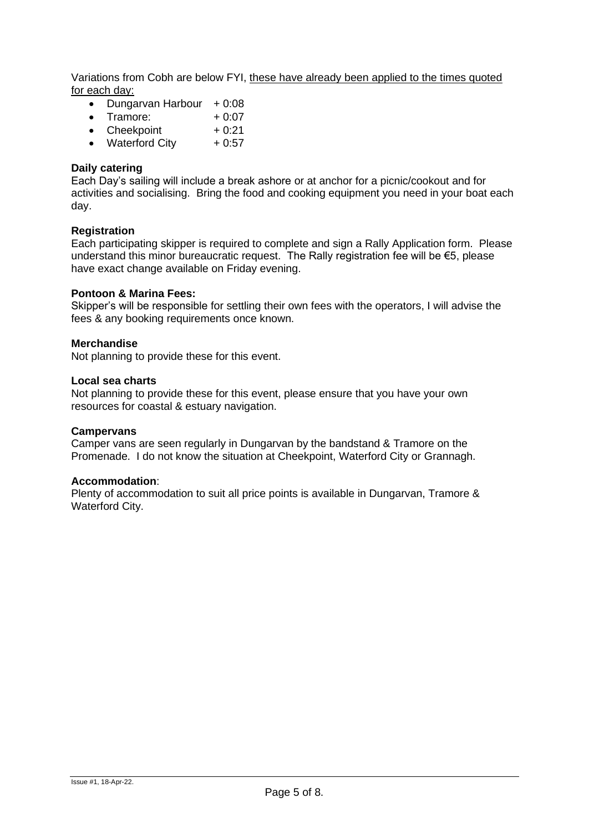Variations from Cobh are below FYI, these have already been applied to the times quoted for each day:

- Dungarvan Harbour  $+0.08$
- Tramore:  $+0.07$
- Cheekpoint  $+0.21$
- Waterford City  $+0.57$

# **Daily catering**

Each Day's sailing will include a break ashore or at anchor for a picnic/cookout and for activities and socialising. Bring the food and cooking equipment you need in your boat each day.

#### **Registration**

Each participating skipper is required to complete and sign a Rally Application form. Please understand this minor bureaucratic request. The Rally registration fee will be €5, please have exact change available on Friday evening.

#### **Pontoon & Marina Fees:**

Skipper's will be responsible for settling their own fees with the operators, I will advise the fees & any booking requirements once known.

#### **Merchandise**

Not planning to provide these for this event.

#### **Local sea charts**

Not planning to provide these for this event, please ensure that you have your own resources for coastal & estuary navigation.

#### **Campervans**

Camper vans are seen regularly in Dungarvan by the bandstand & Tramore on the Promenade. I do not know the situation at Cheekpoint, Waterford City or Grannagh.

#### **Accommodation**:

Plenty of accommodation to suit all price points is available in Dungarvan, Tramore & Waterford City.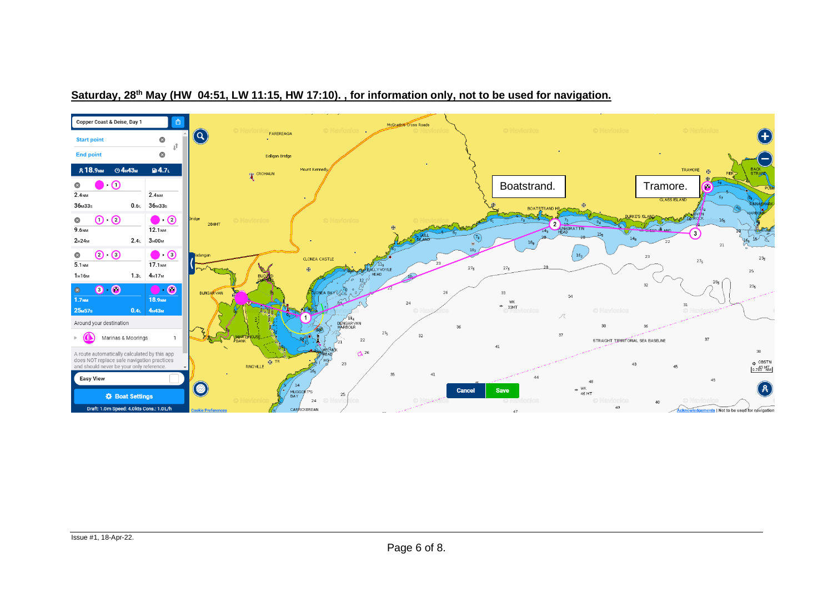

# **Saturday, 28th May (HW 04:51, LW 11:15, HW 17:10). , for information only, not to be used for navigation.**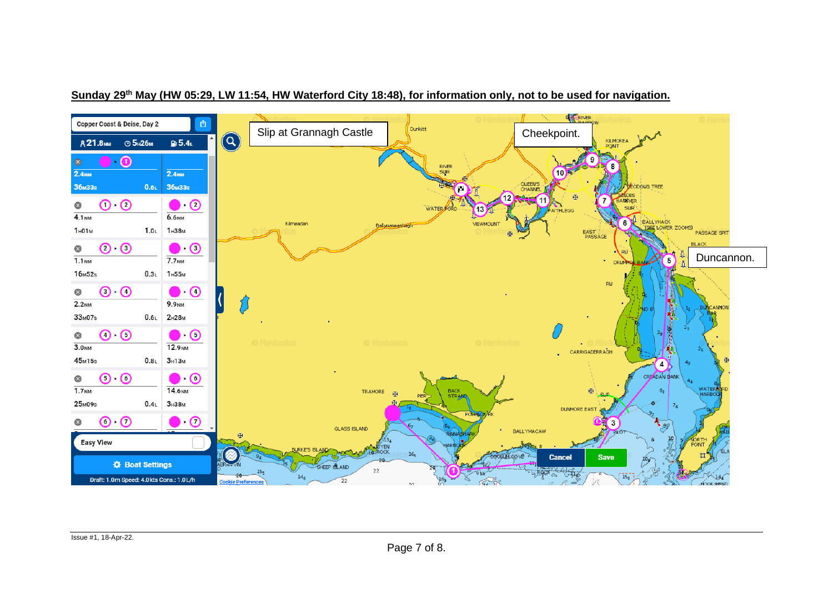

# **Sunday 29th May (HW 05:29, LW 11:54, HW Waterford City 18:48), for information only, not to be used for navigation.**